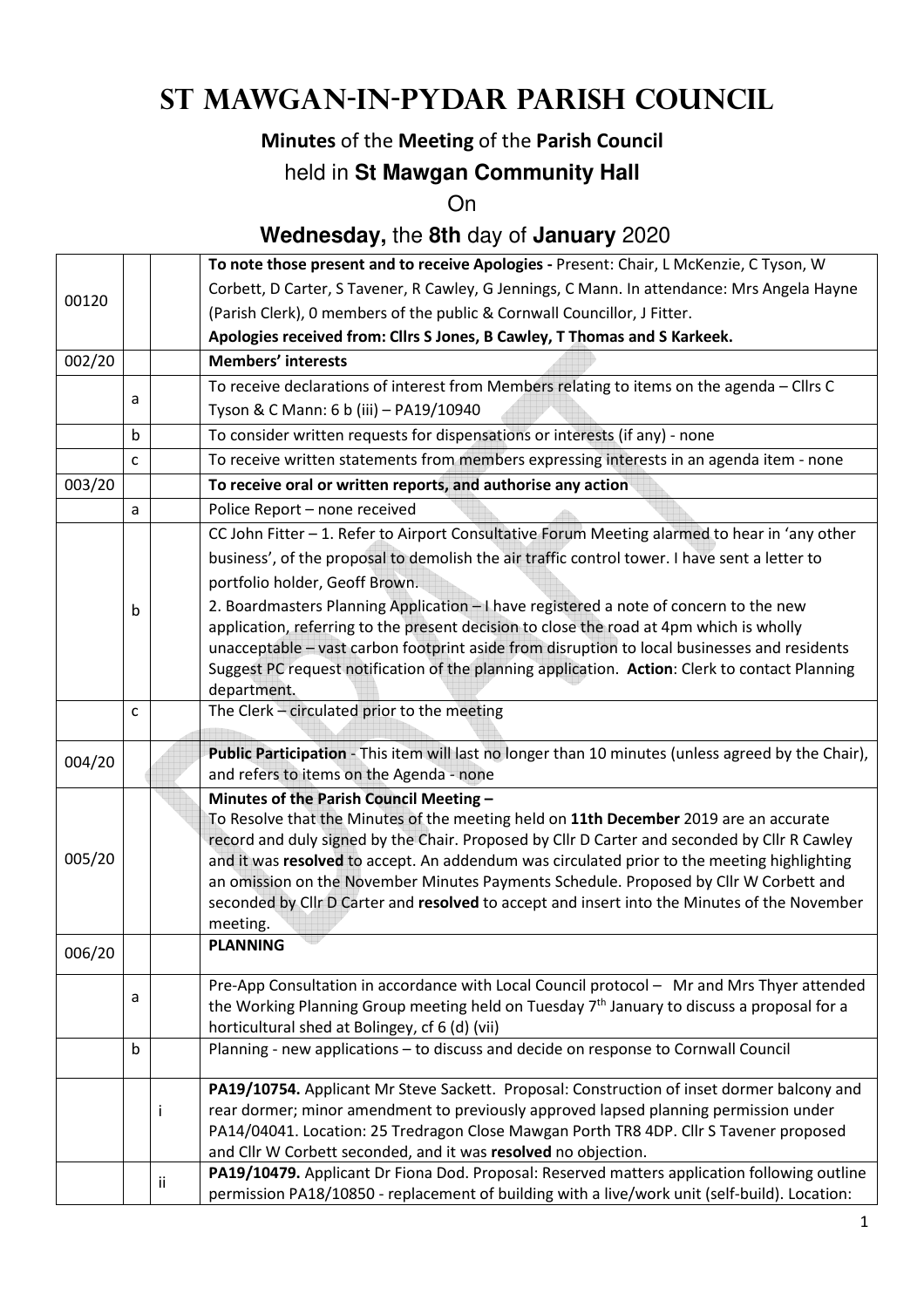# **St Mawgan-in-Pydar Parish Council**

## **Minutes** of the **Meeting** of the **Parish Council**

## held in **St Mawgan Community Hall**

On

## **Wednesday,** the **8th** day of **January** 2020

|        |              |    | To note those present and to receive Apologies - Present: Chair, L McKenzie, C Tyson, W                                                                                                                                                                                                                                                                                                                                                                                                                                              |  |  |
|--------|--------------|----|--------------------------------------------------------------------------------------------------------------------------------------------------------------------------------------------------------------------------------------------------------------------------------------------------------------------------------------------------------------------------------------------------------------------------------------------------------------------------------------------------------------------------------------|--|--|
|        |              |    | Corbett, D Carter, S Tavener, R Cawley, G Jennings, C Mann. In attendance: Mrs Angela Hayne                                                                                                                                                                                                                                                                                                                                                                                                                                          |  |  |
| 00120  |              |    | (Parish Clerk), 0 members of the public & Cornwall Councillor, J Fitter.                                                                                                                                                                                                                                                                                                                                                                                                                                                             |  |  |
|        |              |    | Apologies received from: Cllrs S Jones, B Cawley, T Thomas and S Karkeek.                                                                                                                                                                                                                                                                                                                                                                                                                                                            |  |  |
| 002/20 |              |    | <b>Members' interests</b>                                                                                                                                                                                                                                                                                                                                                                                                                                                                                                            |  |  |
|        |              |    | To receive declarations of interest from Members relating to items on the agenda - Cllrs C                                                                                                                                                                                                                                                                                                                                                                                                                                           |  |  |
|        | a            |    | Tyson & C Mann: 6 b (iii) - PA19/10940                                                                                                                                                                                                                                                                                                                                                                                                                                                                                               |  |  |
|        | b            |    | To consider written requests for dispensations or interests (if any) - none                                                                                                                                                                                                                                                                                                                                                                                                                                                          |  |  |
|        | $\mathsf{C}$ |    | To receive written statements from members expressing interests in an agenda item - none                                                                                                                                                                                                                                                                                                                                                                                                                                             |  |  |
| 003/20 |              |    | To receive oral or written reports, and authorise any action                                                                                                                                                                                                                                                                                                                                                                                                                                                                         |  |  |
|        | a            |    | Police Report - none received                                                                                                                                                                                                                                                                                                                                                                                                                                                                                                        |  |  |
|        | b            |    | CC John Fitter - 1. Refer to Airport Consultative Forum Meeting alarmed to hear in 'any other<br>business', of the proposal to demolish the air traffic control tower. I have sent a letter to<br>portfolio holder, Geoff Brown.<br>2. Boardmasters Planning Application - I have registered a note of concern to the new                                                                                                                                                                                                            |  |  |
|        |              |    | application, referring to the present decision to close the road at 4pm which is wholly<br>unacceptable - vast carbon footprint aside from disruption to local businesses and residents<br>Suggest PC request notification of the planning application. Action: Clerk to contact Planning<br>department.                                                                                                                                                                                                                             |  |  |
|        | C            |    | The Clerk - circulated prior to the meeting                                                                                                                                                                                                                                                                                                                                                                                                                                                                                          |  |  |
| 004/20 |              |    | Public Participation - This item will last no longer than 10 minutes (unless agreed by the Chair),<br>and refers to items on the Agenda - none                                                                                                                                                                                                                                                                                                                                                                                       |  |  |
| 005/20 |              |    | Minutes of the Parish Council Meeting -<br>To Resolve that the Minutes of the meeting held on 11th December 2019 are an accurate<br>record and duly signed by the Chair. Proposed by Cllr D Carter and seconded by Cllr R Cawley<br>and it was resolved to accept. An addendum was circulated prior to the meeting highlighting<br>an omission on the November Minutes Payments Schedule. Proposed by Cllr W Corbett and<br>seconded by Cllr D Carter and resolved to accept and insert into the Minutes of the November<br>meeting. |  |  |
| 006/20 |              |    | <b>PLANNING</b>                                                                                                                                                                                                                                                                                                                                                                                                                                                                                                                      |  |  |
|        | a            |    | Pre-App Consultation in accordance with Local Council protocol - Mr and Mrs Thyer attended<br>the Working Planning Group meeting held on Tuesday 7 <sup>th</sup> January to discuss a proposal for a<br>horticultural shed at Bolingey, cf 6 (d) (vii)                                                                                                                                                                                                                                                                               |  |  |
|        | b            |    | Planning - new applications - to discuss and decide on response to Cornwall Council                                                                                                                                                                                                                                                                                                                                                                                                                                                  |  |  |
|        |              | Ť  | PA19/10754. Applicant Mr Steve Sackett. Proposal: Construction of inset dormer balcony and<br>rear dormer; minor amendment to previously approved lapsed planning permission under<br>PA14/04041. Location: 25 Tredragon Close Mawgan Porth TR8 4DP. Cllr S Tavener proposed<br>and Cllr W Corbett seconded, and it was resolved no objection.                                                                                                                                                                                       |  |  |
|        |              | Ħ. | PA19/10479. Applicant Dr Fiona Dod. Proposal: Reserved matters application following outline<br>permission PA18/10850 - replacement of building with a live/work unit (self-build). Location:                                                                                                                                                                                                                                                                                                                                        |  |  |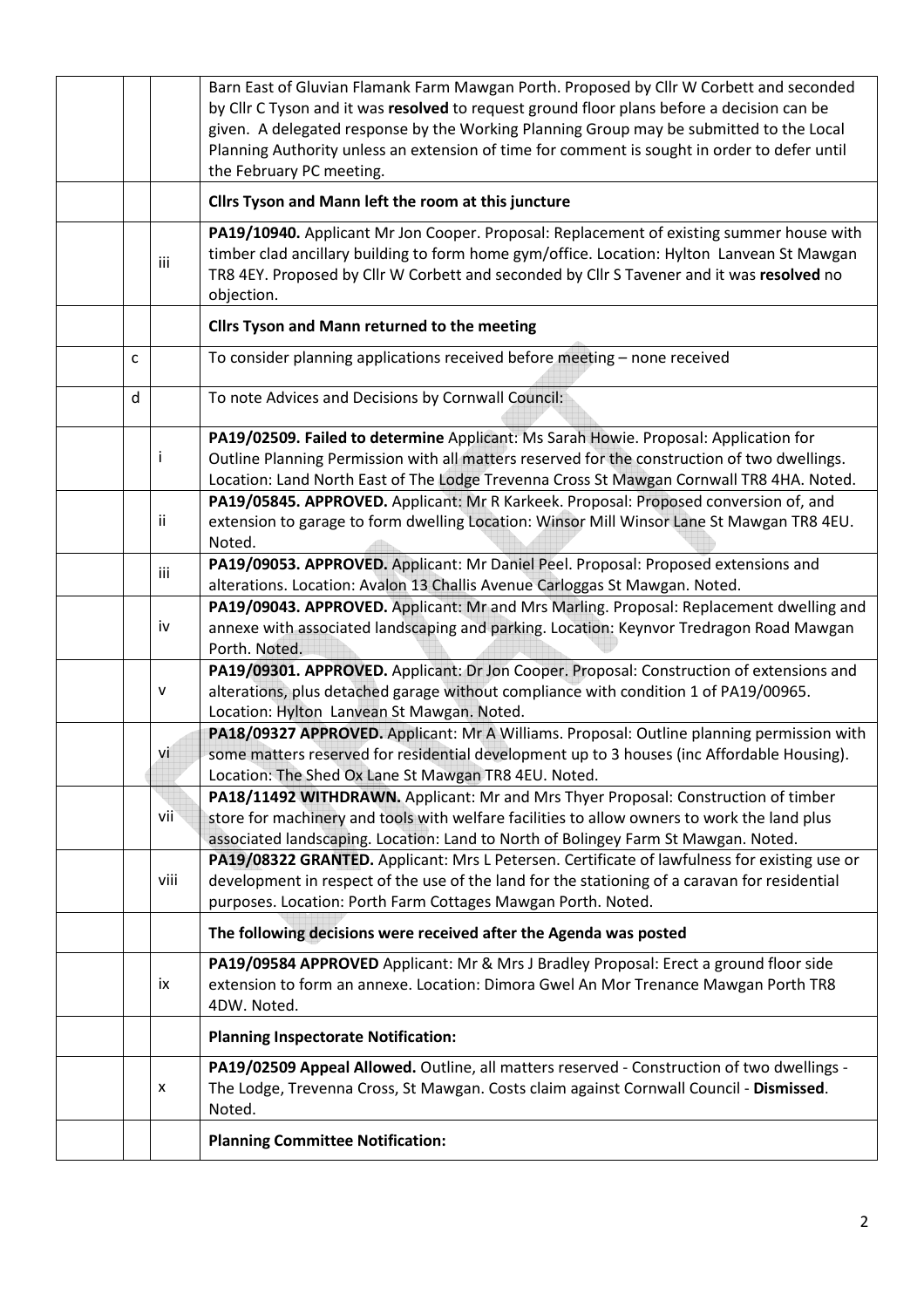|    |      | Barn East of Gluvian Flamank Farm Mawgan Porth. Proposed by Cllr W Corbett and seconded<br>by Cllr C Tyson and it was resolved to request ground floor plans before a decision can be<br>given. A delegated response by the Working Planning Group may be submitted to the Local<br>Planning Authority unless an extension of time for comment is sought in order to defer until<br>the February PC meeting. |  |  |
|----|------|--------------------------------------------------------------------------------------------------------------------------------------------------------------------------------------------------------------------------------------------------------------------------------------------------------------------------------------------------------------------------------------------------------------|--|--|
|    |      | Cllrs Tyson and Mann left the room at this juncture                                                                                                                                                                                                                                                                                                                                                          |  |  |
|    | iii  | PA19/10940. Applicant Mr Jon Cooper. Proposal: Replacement of existing summer house with<br>timber clad ancillary building to form home gym/office. Location: Hylton Lanvean St Mawgan<br>TR8 4EY. Proposed by Cllr W Corbett and seconded by Cllr S Tavener and it was resolved no<br>objection.                                                                                                            |  |  |
|    |      | Cllrs Tyson and Mann returned to the meeting                                                                                                                                                                                                                                                                                                                                                                 |  |  |
| C  |      | To consider planning applications received before meeting - none received                                                                                                                                                                                                                                                                                                                                    |  |  |
| d  |      | To note Advices and Decisions by Cornwall Council:                                                                                                                                                                                                                                                                                                                                                           |  |  |
| İ  |      | PA19/02509. Failed to determine Applicant: Ms Sarah Howie. Proposal: Application for<br>Outline Planning Permission with all matters reserved for the construction of two dwellings.<br>Location: Land North East of The Lodge Trevenna Cross St Mawgan Cornwall TR8 4HA. Noted.                                                                                                                             |  |  |
| ii |      | PA19/05845. APPROVED. Applicant: Mr R Karkeek. Proposal: Proposed conversion of, and<br>extension to garage to form dwelling Location: Winsor Mill Winsor Lane St Mawgan TR8 4EU.<br>Noted.                                                                                                                                                                                                                  |  |  |
|    | iii  | PA19/09053. APPROVED. Applicant: Mr Daniel Peel. Proposal: Proposed extensions and<br>alterations. Location: Avalon 13 Challis Avenue Carloggas St Mawgan. Noted.                                                                                                                                                                                                                                            |  |  |
|    | iv   | PA19/09043. APPROVED. Applicant: Mr and Mrs Marling. Proposal: Replacement dwelling and<br>annexe with associated landscaping and parking. Location: Keynvor Tredragon Road Mawgan<br>Porth. Noted.                                                                                                                                                                                                          |  |  |
| v  |      | PA19/09301. APPROVED. Applicant: Dr Jon Cooper. Proposal: Construction of extensions and<br>alterations, plus detached garage without compliance with condition 1 of PA19/00965.<br>Location: Hylton Lanvean St Mawgan. Noted.                                                                                                                                                                               |  |  |
|    | vi   | PA18/09327 APPROVED. Applicant: Mr A Williams. Proposal: Outline planning permission with<br>some matters reserved for residential development up to 3 houses (inc Affordable Housing).<br>Location: The Shed Ox Lane St Mawgan TR8 4EU. Noted.                                                                                                                                                              |  |  |
|    | vii  | PA18/11492 WITHDRAWN. Applicant: Mr and Mrs Thyer Proposal: Construction of timber<br>store for machinery and tools with welfare facilities to allow owners to work the land plus<br>associated landscaping. Location: Land to North of Bolingey Farm St Mawgan. Noted.                                                                                                                                      |  |  |
|    | viii | PA19/08322 GRANTED. Applicant: Mrs L Petersen. Certificate of lawfulness for existing use or<br>development in respect of the use of the land for the stationing of a caravan for residential<br>purposes. Location: Porth Farm Cottages Mawgan Porth. Noted.                                                                                                                                                |  |  |
|    |      | The following decisions were received after the Agenda was posted                                                                                                                                                                                                                                                                                                                                            |  |  |
|    | ix   | PA19/09584 APPROVED Applicant: Mr & Mrs J Bradley Proposal: Erect a ground floor side<br>extension to form an annexe. Location: Dimora Gwel An Mor Trenance Mawgan Porth TR8<br>4DW. Noted.                                                                                                                                                                                                                  |  |  |
|    |      | <b>Planning Inspectorate Notification:</b>                                                                                                                                                                                                                                                                                                                                                                   |  |  |
| x  |      | PA19/02509 Appeal Allowed. Outline, all matters reserved - Construction of two dwellings -<br>The Lodge, Trevenna Cross, St Mawgan. Costs claim against Cornwall Council - Dismissed.<br>Noted.                                                                                                                                                                                                              |  |  |
|    |      | <b>Planning Committee Notification:</b>                                                                                                                                                                                                                                                                                                                                                                      |  |  |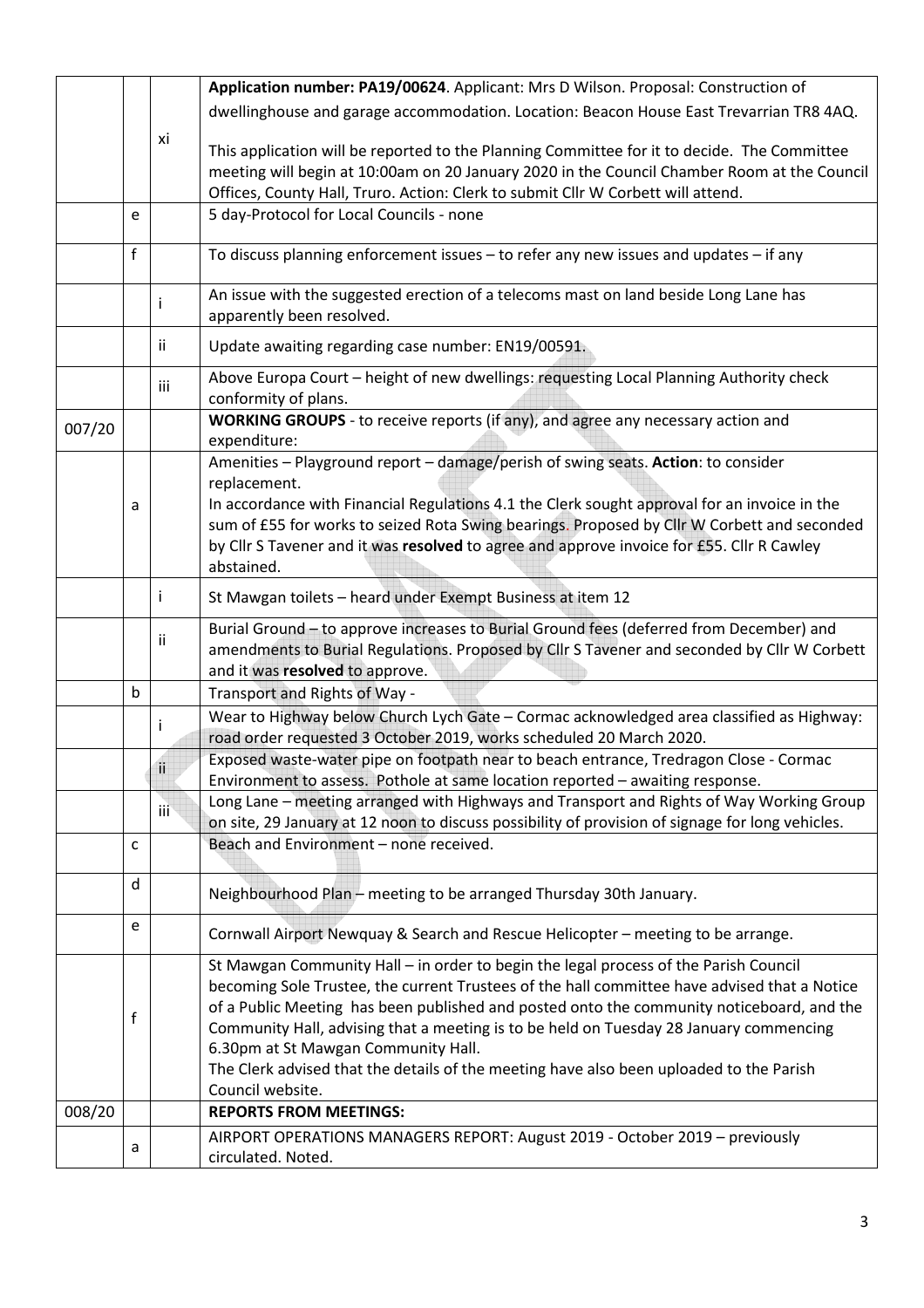|        | Application number: PA19/00624. Applicant: Mrs D Wilson. Proposal: Construction of      |               |                                                                                                                                                                                 |  |  |
|--------|-----------------------------------------------------------------------------------------|---------------|---------------------------------------------------------------------------------------------------------------------------------------------------------------------------------|--|--|
|        | dwellinghouse and garage accommodation. Location: Beacon House East Trevarrian TR8 4AQ. |               |                                                                                                                                                                                 |  |  |
|        |                                                                                         | хi            |                                                                                                                                                                                 |  |  |
|        |                                                                                         |               | This application will be reported to the Planning Committee for it to decide. The Committee                                                                                     |  |  |
|        |                                                                                         |               | meeting will begin at 10:00am on 20 January 2020 in the Council Chamber Room at the Council<br>Offices, County Hall, Truro. Action: Clerk to submit Cllr W Corbett will attend. |  |  |
|        | e                                                                                       |               | 5 day-Protocol for Local Councils - none                                                                                                                                        |  |  |
|        |                                                                                         |               |                                                                                                                                                                                 |  |  |
|        | $\mathsf{f}$                                                                            |               | To discuss planning enforcement issues - to refer any new issues and updates - if any                                                                                           |  |  |
|        |                                                                                         | j.            | An issue with the suggested erection of a telecoms mast on land beside Long Lane has<br>apparently been resolved.                                                               |  |  |
|        |                                                                                         | ii.           | Update awaiting regarding case number: EN19/00591.                                                                                                                              |  |  |
|        |                                                                                         | iii           | Above Europa Court - height of new dwellings: requesting Local Planning Authority check<br>conformity of plans.                                                                 |  |  |
| 007/20 | WORKING GROUPS - to receive reports (if any), and agree any necessary action and        |               |                                                                                                                                                                                 |  |  |
|        | expenditure:                                                                            |               |                                                                                                                                                                                 |  |  |
|        |                                                                                         |               | Amenities - Playground report - damage/perish of swing seats. Action: to consider                                                                                               |  |  |
|        | a                                                                                       |               | replacement.<br>In accordance with Financial Regulations 4.1 the Clerk sought approval for an invoice in the                                                                    |  |  |
|        |                                                                                         |               | sum of £55 for works to seized Rota Swing bearings. Proposed by Cllr W Corbett and seconded                                                                                     |  |  |
|        |                                                                                         |               | by Cllr S Tavener and it was resolved to agree and approve invoice for £55. Cllr R Cawley                                                                                       |  |  |
|        | abstained.                                                                              |               |                                                                                                                                                                                 |  |  |
|        | j.<br>St Mawgan toilets - heard under Exempt Business at item 12                        |               |                                                                                                                                                                                 |  |  |
|        |                                                                                         | ii.           | Burial Ground - to approve increases to Burial Ground fees (deferred from December) and                                                                                         |  |  |
|        |                                                                                         |               | amendments to Burial Regulations. Proposed by Cllr S Tavener and seconded by Cllr W Corbett                                                                                     |  |  |
|        | b                                                                                       |               | and it was resolved to approve.                                                                                                                                                 |  |  |
|        |                                                                                         |               | Transport and Rights of Way -<br>Wear to Highway below Church Lych Gate - Cormac acknowledged area classified as Highway:                                                       |  |  |
|        |                                                                                         |               | road order requested 3 October 2019, works scheduled 20 March 2020.                                                                                                             |  |  |
|        |                                                                                         |               | Exposed waste-water pipe on footpath near to beach entrance, Tredragon Close - Cormac                                                                                           |  |  |
|        |                                                                                         | $\mathbf{ii}$ | Environment to assess. Pothole at same location reported - awaiting response.                                                                                                   |  |  |
|        |                                                                                         | iii           | Long Lane - meeting arranged with Highways and Transport and Rights of Way Working Group                                                                                        |  |  |
|        |                                                                                         |               | on site, 29 January at 12 noon to discuss possibility of provision of signage for long vehicles.                                                                                |  |  |
|        | c                                                                                       |               | Beach and Environment - none received.                                                                                                                                          |  |  |
|        | d                                                                                       |               | Neighbourhood Plan - meeting to be arranged Thursday 30th January.                                                                                                              |  |  |
|        | e                                                                                       |               | Cornwall Airport Newquay & Search and Rescue Helicopter - meeting to be arrange.                                                                                                |  |  |
|        |                                                                                         |               | St Mawgan Community Hall - in order to begin the legal process of the Parish Council                                                                                            |  |  |
|        |                                                                                         |               | becoming Sole Trustee, the current Trustees of the hall committee have advised that a Notice                                                                                    |  |  |
|        |                                                                                         |               | of a Public Meeting has been published and posted onto the community noticeboard, and the                                                                                       |  |  |
|        | f                                                                                       |               | Community Hall, advising that a meeting is to be held on Tuesday 28 January commencing                                                                                          |  |  |
|        |                                                                                         |               | 6.30pm at St Mawgan Community Hall.                                                                                                                                             |  |  |
|        |                                                                                         |               | The Clerk advised that the details of the meeting have also been uploaded to the Parish                                                                                         |  |  |
|        |                                                                                         |               | Council website.<br><b>REPORTS FROM MEETINGS:</b>                                                                                                                               |  |  |
| 008/20 |                                                                                         |               |                                                                                                                                                                                 |  |  |
|        | a                                                                                       |               | AIRPORT OPERATIONS MANAGERS REPORT: August 2019 - October 2019 - previously<br>circulated. Noted.                                                                               |  |  |
|        |                                                                                         |               |                                                                                                                                                                                 |  |  |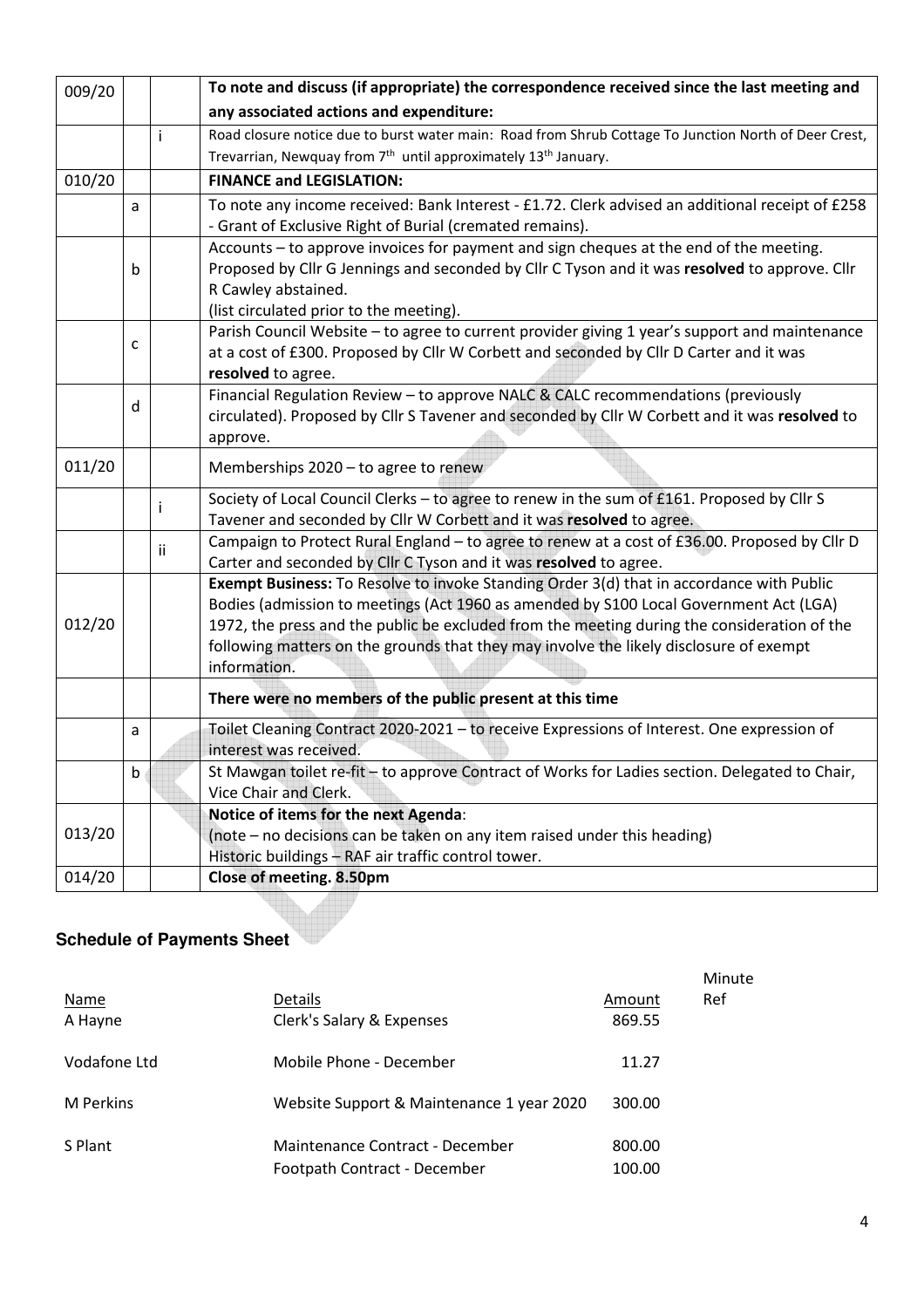| 009/20 |   | To note and discuss (if appropriate) the correspondence received since the last meeting and |                                                                                                       |  |  |  |  |
|--------|---|---------------------------------------------------------------------------------------------|-------------------------------------------------------------------------------------------------------|--|--|--|--|
|        |   |                                                                                             | any associated actions and expenditure:                                                               |  |  |  |  |
|        |   | i                                                                                           | Road closure notice due to burst water main: Road from Shrub Cottage To Junction North of Deer Crest, |  |  |  |  |
|        |   |                                                                                             | Trevarrian, Newquay from 7 <sup>th</sup> until approximately 13 <sup>th</sup> January.                |  |  |  |  |
| 010/20 |   |                                                                                             | <b>FINANCE and LEGISLATION:</b>                                                                       |  |  |  |  |
|        | a |                                                                                             | To note any income received: Bank Interest - £1.72. Clerk advised an additional receipt of £258       |  |  |  |  |
|        |   |                                                                                             | - Grant of Exclusive Right of Burial (cremated remains).                                              |  |  |  |  |
|        |   |                                                                                             | Accounts – to approve invoices for payment and sign cheques at the end of the meeting.                |  |  |  |  |
|        | b |                                                                                             | Proposed by Cllr G Jennings and seconded by Cllr C Tyson and it was resolved to approve. Cllr         |  |  |  |  |
|        |   |                                                                                             | R Cawley abstained.                                                                                   |  |  |  |  |
|        |   |                                                                                             | (list circulated prior to the meeting).                                                               |  |  |  |  |
|        | c |                                                                                             | Parish Council Website - to agree to current provider giving 1 year's support and maintenance         |  |  |  |  |
|        |   |                                                                                             | at a cost of £300. Proposed by Cllr W Corbett and seconded by Cllr D Carter and it was                |  |  |  |  |
|        |   |                                                                                             | resolved to agree.                                                                                    |  |  |  |  |
|        | d |                                                                                             | Financial Regulation Review - to approve NALC & CALC recommendations (previously                      |  |  |  |  |
|        |   |                                                                                             | circulated). Proposed by Cllr S Tavener and seconded by Cllr W Corbett and it was resolved to         |  |  |  |  |
|        |   |                                                                                             | approve.                                                                                              |  |  |  |  |
| 011/20 |   |                                                                                             | Memberships 2020 - to agree to renew                                                                  |  |  |  |  |
|        |   | т                                                                                           | Society of Local Council Clerks - to agree to renew in the sum of £161. Proposed by Cllr S            |  |  |  |  |
|        |   |                                                                                             | Tavener and seconded by Cllr W Corbett and it was resolved to agree.                                  |  |  |  |  |
|        |   | ii                                                                                          | Campaign to Protect Rural England - to agree to renew at a cost of £36.00. Proposed by Cllr D         |  |  |  |  |
|        |   |                                                                                             | Carter and seconded by Cllr C Tyson and it was resolved to agree.                                     |  |  |  |  |
|        |   |                                                                                             | Exempt Business: To Resolve to invoke Standing Order 3(d) that in accordance with Public              |  |  |  |  |
|        |   |                                                                                             | Bodies (admission to meetings (Act 1960 as amended by S100 Local Government Act (LGA)                 |  |  |  |  |
| 012/20 |   |                                                                                             | 1972, the press and the public be excluded from the meeting during the consideration of the           |  |  |  |  |
|        |   |                                                                                             | following matters on the grounds that they may involve the likely disclosure of exempt                |  |  |  |  |
|        |   |                                                                                             | information.                                                                                          |  |  |  |  |
|        |   |                                                                                             | There were no members of the public present at this time                                              |  |  |  |  |
|        | a |                                                                                             | Toilet Cleaning Contract 2020-2021 - to receive Expressions of Interest. One expression of            |  |  |  |  |
|        |   |                                                                                             | interest was received.                                                                                |  |  |  |  |
|        | b |                                                                                             | St Mawgan toilet re-fit - to approve Contract of Works for Ladies section. Delegated to Chair,        |  |  |  |  |
|        |   |                                                                                             | Vice Chair and Clerk.                                                                                 |  |  |  |  |
|        |   |                                                                                             | Notice of items for the next Agenda:                                                                  |  |  |  |  |
| 013/20 |   |                                                                                             | (note - no decisions can be taken on any item raised under this heading)                              |  |  |  |  |
|        |   |                                                                                             | Historic buildings - RAF air traffic control tower.                                                   |  |  |  |  |
| 014/20 |   |                                                                                             | Close of meeting. 8.50pm                                                                              |  |  |  |  |

### **Schedule of Payments Sheet**

| <b>Name</b><br>A Hayne | Details<br>Clerk's Salary & Expenses                            | Amount<br>869.55 | Minute<br>Ref |
|------------------------|-----------------------------------------------------------------|------------------|---------------|
| Vodafone Ltd           | Mobile Phone - December                                         | 11.27            |               |
| <b>M</b> Perkins       | Website Support & Maintenance 1 year 2020                       | 300.00           |               |
| S Plant                | Maintenance Contract - December<br>Footpath Contract - December | 800.00<br>100.00 |               |